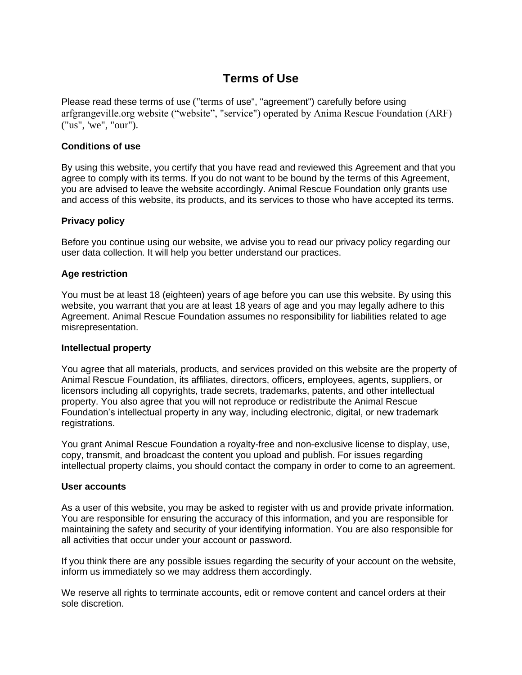# **Terms of Use**

Please read these terms of use ("terms of use", "agreement") carefully before using arfgrangeville.org website ("website", "service") operated by Anima Rescue Foundation (ARF) ("us", 'we", "our").

# **Conditions of use**

By using this website, you certify that you have read and reviewed this Agreement and that you agree to comply with its terms. If you do not want to be bound by the terms of this Agreement, you are advised to leave the website accordingly. Animal Rescue Foundation only grants use and access of this website, its products, and its services to those who have accepted its terms.

# **Privacy policy**

Before you continue using our website, we advise you to read our privacy policy regarding our user data collection. It will help you better understand our practices.

# **Age restriction**

You must be at least 18 (eighteen) years of age before you can use this website. By using this website, you warrant that you are at least 18 years of age and you may legally adhere to this Agreement. Animal Rescue Foundation assumes no responsibility for liabilities related to age misrepresentation.

### **Intellectual property**

You agree that all materials, products, and services provided on this website are the property of Animal Rescue Foundation, its affiliates, directors, officers, employees, agents, suppliers, or licensors including all copyrights, trade secrets, trademarks, patents, and other intellectual property. You also agree that you will not reproduce or redistribute the Animal Rescue Foundation's intellectual property in any way, including electronic, digital, or new trademark registrations.

You grant Animal Rescue Foundation a royalty-free and non-exclusive license to display, use, copy, transmit, and broadcast the content you upload and publish. For issues regarding intellectual property claims, you should contact the company in order to come to an agreement.

### **User accounts**

As a user of this website, you may be asked to register with us and provide private information. You are responsible for ensuring the accuracy of this information, and you are responsible for maintaining the safety and security of your identifying information. You are also responsible for all activities that occur under your account or password.

If you think there are any possible issues regarding the security of your account on the website, inform us immediately so we may address them accordingly.

We reserve all rights to terminate accounts, edit or remove content and cancel orders at their sole discretion.